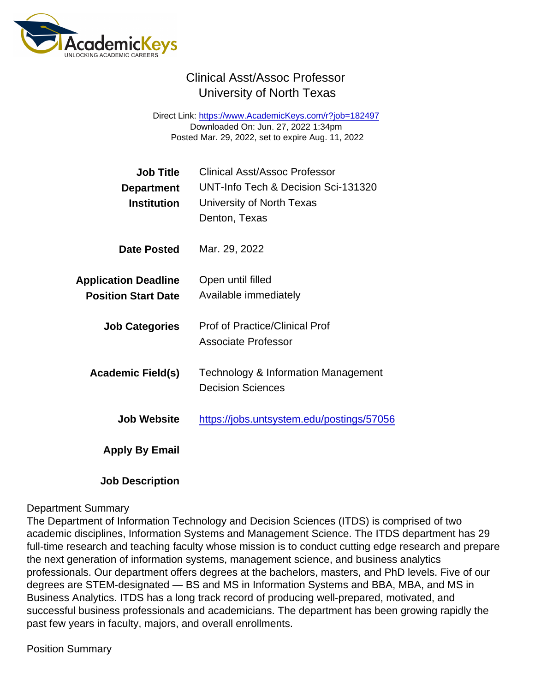## Clinical Asst/Assoc Professor University of North Texas

Direct Link: <https://www.AcademicKeys.com/r?job=182497> Downloaded On: Jun. 27, 2022 1:34pm Posted Mar. 29, 2022, set to expire Aug. 11, 2022

| Job Title<br>Department<br>Institution                    | <b>Clinical Asst/Assoc Professor</b><br>UNT-Info Tech & Decision Sci-131320<br>University of North Texas<br>Denton, Texas |
|-----------------------------------------------------------|---------------------------------------------------------------------------------------------------------------------------|
| Date Posted                                               | Mar. 29, 2022                                                                                                             |
| <b>Application Deadline</b><br><b>Position Start Date</b> | Open until filled<br>Available immediately                                                                                |
| <b>Job Categories</b>                                     | <b>Prof of Practice/Clinical Prof</b><br>Associate Professor                                                              |
| Academic Field(s)                                         | Technology & Information Management<br><b>Decision Sciences</b>                                                           |
| Job Website                                               | https://jobs.untsystem.edu/postings/57056                                                                                 |
| Apply By Email                                            |                                                                                                                           |
|                                                           |                                                                                                                           |

### Job Description

#### Department Summary

The Department of Information Technology and Decision Sciences (ITDS) is comprised of two academic disciplines, Information Systems and Management Science. The ITDS department has 29 full-time research and teaching faculty whose mission is to conduct cutting edge research and prepare the next generation of information systems, management science, and business analytics professionals. Our department offers degrees at the bachelors, masters, and PhD levels. Five of our degrees are STEM-designated — BS and MS in Information Systems and BBA, MBA, and MS in Business Analytics. ITDS has a long track record of producing well-prepared, motivated, and successful business professionals and academicians. The department has been growing rapidly the past few years in faculty, majors, and overall enrollments.

Position Summary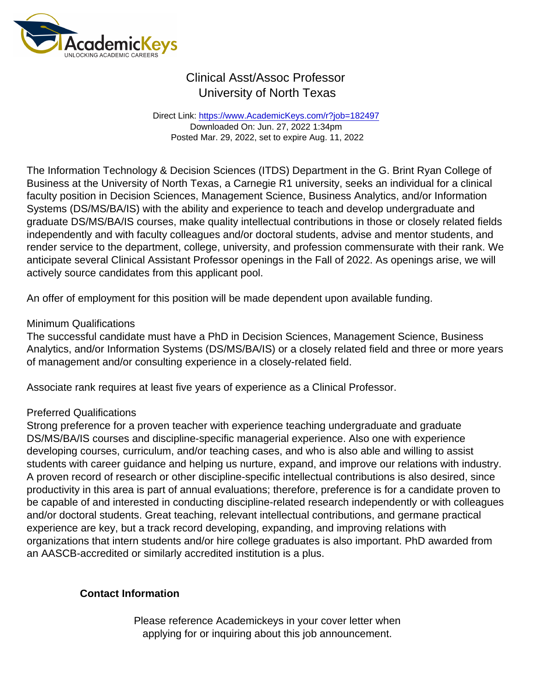## Clinical Asst/Assoc Professor University of North Texas

Direct Link: <https://www.AcademicKeys.com/r?job=182497> Downloaded On: Jun. 27, 2022 1:34pm Posted Mar. 29, 2022, set to expire Aug. 11, 2022

The Information Technology & Decision Sciences (ITDS) Department in the G. Brint Ryan College of Business at the University of North Texas, a Carnegie R1 university, seeks an individual for a clinical faculty position in Decision Sciences, Management Science, Business Analytics, and/or Information Systems (DS/MS/BA/IS) with the ability and experience to teach and develop undergraduate and graduate DS/MS/BA/IS courses, make quality intellectual contributions in those or closely related fields independently and with faculty colleagues and/or doctoral students, advise and mentor students, and render service to the department, college, university, and profession commensurate with their rank. We anticipate several Clinical Assistant Professor openings in the Fall of 2022. As openings arise, we will actively source candidates from this applicant pool.

An offer of employment for this position will be made dependent upon available funding.

#### Minimum Qualifications

The successful candidate must have a PhD in Decision Sciences, Management Science, Business Analytics, and/or Information Systems (DS/MS/BA/IS) or a closely related field and three or more years of management and/or consulting experience in a closely-related field.

Associate rank requires at least five years of experience as a Clinical Professor.

### Preferred Qualifications

Strong preference for a proven teacher with experience teaching undergraduate and graduate DS/MS/BA/IS courses and discipline-specific managerial experience. Also one with experience developing courses, curriculum, and/or teaching cases, and who is also able and willing to assist students with career guidance and helping us nurture, expand, and improve our relations with industry. A proven record of research or other discipline-specific intellectual contributions is also desired, since productivity in this area is part of annual evaluations; therefore, preference is for a candidate proven to be capable of and interested in conducting discipline-related research independently or with colleagues and/or doctoral students. Great teaching, relevant intellectual contributions, and germane practical experience are key, but a track record developing, expanding, and improving relations with organizations that intern students and/or hire college graduates is also important. PhD awarded from an AASCB-accredited or similarly accredited institution is a plus.

Contact Information

Please reference Academickeys in your cover letter when applying for or inquiring about this job announcement.